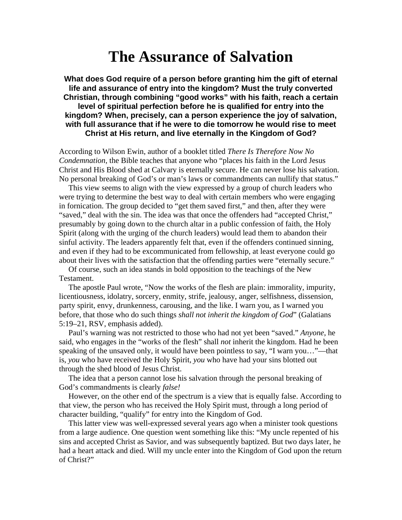# **The Assurance of Salvation**

**What does God require of a person before granting him the gift of eternal life and assurance of entry into the kingdom? Must the truly converted Christian, through combining "good works" with his faith, reach a certain level of spiritual perfection before he is qualified for entry into the kingdom? When, precisely, can a person experience the joy of salvation, with full assurance that if he were to die tomorrow he would rise to meet Christ at His return, and live eternally in the Kingdom of God?** 

According to Wilson Ewin, author of a booklet titled *There Is Therefore Now No Condemnation*, the Bible teaches that anyone who "places his faith in the Lord Jesus Christ and His Blood shed at Calvary is eternally secure. He can never lose his salvation. No personal breaking of God's or man's laws or commandments can nullify that status."

This view seems to align with the view expressed by a group of church leaders who were trying to determine the best way to deal with certain members who were engaging in fornication. The group decided to "get them saved first," and then, after they were "saved," deal with the sin. The idea was that once the offenders had "accepted Christ," presumably by going down to the church altar in a public confession of faith, the Holy Spirit (along with the urging of the church leaders) would lead them to abandon their sinful activity. The leaders apparently felt that, even if the offenders continued sinning, and even if they had to be excommunicated from fellowship, at least everyone could go about their lives with the satisfaction that the offending parties were "eternally secure."

Of course, such an idea stands in bold opposition to the teachings of the New Testament.

The apostle Paul wrote, "Now the works of the flesh are plain: immorality, impurity, licentiousness, idolatry, sorcery, enmity, strife, jealousy, anger, selfishness, dissension, party spirit, envy, drunkenness, carousing, and the like. I warn you, as I warned you before, that those who do such things *shall not inherit the kingdom of God*" (Galatians 5:19–21, RSV, emphasis added).

Paul's warning was not restricted to those who had not yet been "saved." *Anyone*, he said, who engages in the "works of the flesh" shall *not* inherit the kingdom. Had he been speaking of the unsaved only, it would have been pointless to say, "I warn you…"—that is, *you* who have received the Holy Spirit, *you* who have had your sins blotted out through the shed blood of Jesus Christ.

The idea that a person cannot lose his salvation through the personal breaking of God's commandments is clearly *false!*

However, on the other end of the spectrum is a view that is equally false. According to that view, the person who has received the Holy Spirit must, through a long period of character building, "qualify" for entry into the Kingdom of God.

This latter view was well-expressed several years ago when a minister took questions from a large audience. One question went something like this: "My uncle repented of his sins and accepted Christ as Savior, and was subsequently baptized. But two days later, he had a heart attack and died. Will my uncle enter into the Kingdom of God upon the return of Christ?"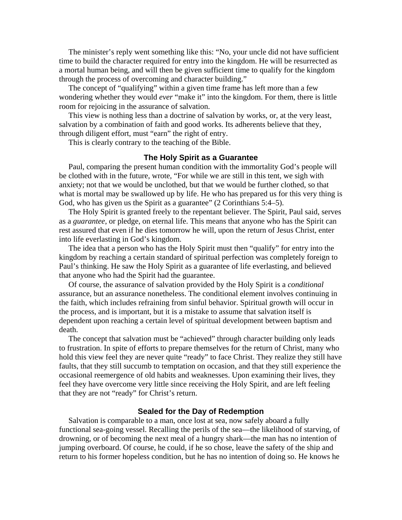The minister's reply went something like this: "No, your uncle did not have sufficient time to build the character required for entry into the kingdom. He will be resurrected as a mortal human being, and will then be given sufficient time to qualify for the kingdom through the process of overcoming and character building."

The concept of "qualifying" within a given time frame has left more than a few wondering whether they would *ever* "make it" into the kingdom. For them, there is little room for rejoicing in the assurance of salvation.

This view is nothing less than a doctrine of salvation by works, or, at the very least, salvation by a combination of faith and good works. Its adherents believe that they, through diligent effort, must "earn" the right of entry.

This is clearly contrary to the teaching of the Bible.

# **The Holy Spirit as a Guarantee**

Paul, comparing the present human condition with the immortality God's people will be clothed with in the future, wrote, "For while we are still in this tent, we sigh with anxiety; not that we would be unclothed, but that we would be further clothed, so that what is mortal may be swallowed up by life. He who has prepared us for this very thing is God, who has given us the Spirit as a guarantee" (2 Corinthians 5:4–5).

The Holy Spirit is granted freely to the repentant believer. The Spirit, Paul said, serves as a *guarantee*, or pledge, on eternal life. This means that anyone who has the Spirit can rest assured that even if he dies tomorrow he will, upon the return of Jesus Christ, enter into life everlasting in God's kingdom.

The idea that a person who has the Holy Spirit must then "qualify" for entry into the kingdom by reaching a certain standard of spiritual perfection was completely foreign to Paul's thinking. He saw the Holy Spirit as a guarantee of life everlasting, and believed that anyone who had the Spirit had the guarantee.

Of course, the assurance of salvation provided by the Holy Spirit is a *conditional* assurance, but an assurance nonetheless. The conditional element involves continuing in the faith, which includes refraining from sinful behavior. Spiritual growth will occur in the process, and is important, but it is a mistake to assume that salvation itself is dependent upon reaching a certain level of spiritual development between baptism and death.

The concept that salvation must be "achieved" through character building only leads to frustration. In spite of efforts to prepare themselves for the return of Christ, many who hold this view feel they are never quite "ready" to face Christ. They realize they still have faults, that they still succumb to temptation on occasion, and that they still experience the occasional reemergence of old habits and weaknesses. Upon examining their lives, they feel they have overcome very little since receiving the Holy Spirit, and are left feeling that they are not "ready" for Christ's return.

# **Sealed for the Day of Redemption**

Salvation is comparable to a man, once lost at sea, now safely aboard a fully functional sea-going vessel. Recalling the perils of the sea—the likelihood of starving, of drowning, or of becoming the next meal of a hungry shark—the man has no intention of jumping overboard. Of course, he could, if he so chose, leave the safety of the ship and return to his former hopeless condition, but he has no intention of doing so. He knows he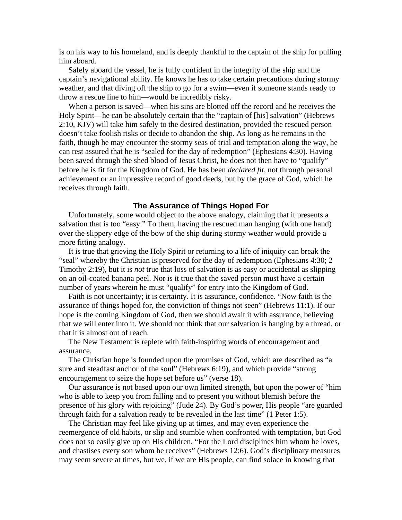is on his way to his homeland, and is deeply thankful to the captain of the ship for pulling him aboard.

Safely aboard the vessel, he is fully confident in the integrity of the ship and the captain's navigational ability. He knows he has to take certain precautions during stormy weather, and that diving off the ship to go for a swim—even if someone stands ready to throw a rescue line to him—would be incredibly risky.

When a person is saved—when his sins are blotted off the record and he receives the Holy Spirit—he can be absolutely certain that the "captain of [his] salvation" (Hebrews 2:10, KJV) will take him safely to the desired destination, provided the rescued person doesn't take foolish risks or decide to abandon the ship. As long as he remains in the faith, though he may encounter the stormy seas of trial and temptation along the way, he can rest assured that he is "sealed for the day of redemption" (Ephesians 4:30). Having been saved through the shed blood of Jesus Christ, he does not then have to "qualify" before he is fit for the Kingdom of God. He has been *declared fit*, not through personal achievement or an impressive record of good deeds, but by the grace of God, which he receives through faith.

## **The Assurance of Things Hoped For**

Unfortunately, some would object to the above analogy, claiming that it presents a salvation that is too "easy." To them, having the rescued man hanging (with one hand) over the slippery edge of the bow of the ship during stormy weather would provide a more fitting analogy.

It is true that grieving the Holy Spirit or returning to a life of iniquity can break the "seal" whereby the Christian is preserved for the day of redemption (Ephesians 4:30; 2 Timothy 2:19), but it is *not* true that loss of salvation is as easy or accidental as slipping on an oil-coated banana peel. Nor is it true that the saved person must have a certain number of years wherein he must "qualify" for entry into the Kingdom of God.

Faith is not uncertainty; it is certainty. It is assurance, confidence. "Now faith is the assurance of things hoped for, the conviction of things not seen" (Hebrews 11:1). If our hope is the coming Kingdom of God, then we should await it with assurance, believing that we will enter into it. We should not think that our salvation is hanging by a thread, or that it is almost out of reach.

The New Testament is replete with faith-inspiring words of encouragement and assurance.

The Christian hope is founded upon the promises of God, which are described as "a sure and steadfast anchor of the soul" (Hebrews 6:19), and which provide "strong encouragement to seize the hope set before us" (verse 18).

Our assurance is not based upon our own limited strength, but upon the power of "him who is able to keep you from falling and to present you without blemish before the presence of his glory with rejoicing" (Jude 24). By God's power, His people "are guarded through faith for a salvation ready to be revealed in the last time" (1 Peter 1:5).

The Christian may feel like giving up at times, and may even experience the reemergence of old habits, or slip and stumble when confronted with temptation, but God does not so easily give up on His children. "For the Lord disciplines him whom he loves, and chastises every son whom he receives" (Hebrews 12:6). God's disciplinary measures may seem severe at times, but we, if we are His people, can find solace in knowing that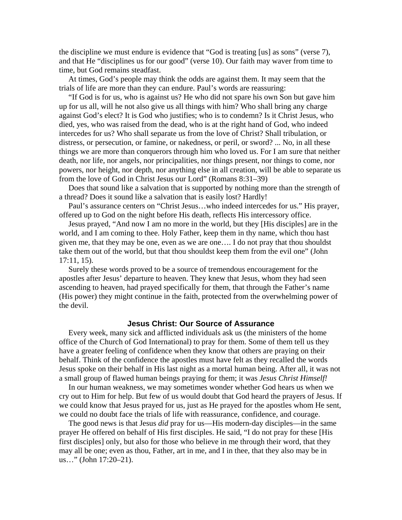the discipline we must endure is evidence that "God is treating [us] as sons" (verse 7), and that He "disciplines us for our good" (verse 10). Our faith may waver from time to time, but God remains steadfast.

At times, God's people may think the odds are against them. It may seem that the trials of life are more than they can endure. Paul's words are reassuring:

"If God is for us, who is against us? He who did not spare his own Son but gave him up for us all, will he not also give us all things with him? Who shall bring any charge against God's elect? It is God who justifies; who is to condemn? Is it Christ Jesus, who died, yes, who was raised from the dead, who is at the right hand of God, who indeed intercedes for us? Who shall separate us from the love of Christ? Shall tribulation, or distress, or persecution, or famine, or nakedness, or peril, or sword? ... No, in all these things we are more than conquerors through him who loved us. For I am sure that neither death, nor life, nor angels, nor principalities, nor things present, nor things to come, nor powers, nor height, nor depth, nor anything else in all creation, will be able to separate us from the love of God in Christ Jesus our Lord" (Romans 8:31–39)

Does that sound like a salvation that is supported by nothing more than the strength of a thread? Does it sound like a salvation that is easily lost? Hardly!

Paul's assurance centers on "Christ Jesus…who indeed intercedes for us." His prayer, offered up to God on the night before His death, reflects His intercessory office.

Jesus prayed, "And now I am no more in the world, but they [His disciples] are in the world, and I am coming to thee. Holy Father, keep them in thy name, which thou hast given me, that they may be one, even as we are one…. I do not pray that thou shouldst take them out of the world, but that thou shouldst keep them from the evil one" (John 17:11, 15).

Surely these words proved to be a source of tremendous encouragement for the apostles after Jesus' departure to heaven. They knew that Jesus, whom they had seen ascending to heaven, had prayed specifically for them, that through the Father's name (His power) they might continue in the faith, protected from the overwhelming power of the devil.

# **Jesus Christ: Our Source of Assurance**

Every week, many sick and afflicted individuals ask us (the ministers of the home office of the Church of God International) to pray for them. Some of them tell us they have a greater feeling of confidence when they know that others are praying on their behalf. Think of the confidence the apostles must have felt as they recalled the words Jesus spoke on their behalf in His last night as a mortal human being. After all, it was not a small group of flawed human beings praying for them; it was *Jesus Christ Himself!*

In our human weakness, we may sometimes wonder whether God hears us when we cry out to Him for help. But few of us would doubt that God heard the prayers of Jesus. If we could know that Jesus prayed for us, just as He prayed for the apostles whom He sent, we could no doubt face the trials of life with reassurance, confidence, and courage.

The good news is that Jesus *did* pray for us—His modern-day disciples—in the same prayer He offered on behalf of His first disciples. He said, "I do not pray for these [His first disciples] only, but also for those who believe in me through their word, that they may all be one; even as thou, Father, art in me, and I in thee, that they also may be in us…" (John 17:20–21).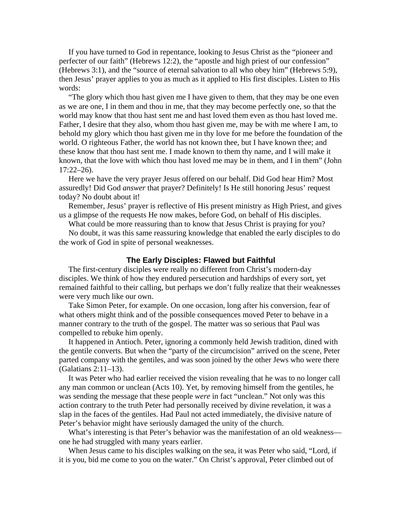If you have turned to God in repentance, looking to Jesus Christ as the "pioneer and perfecter of our faith" (Hebrews 12:2), the "apostle and high priest of our confession" (Hebrews 3:1), and the "source of eternal salvation to all who obey him" (Hebrews 5:9), then Jesus' prayer applies to you as much as it applied to His first disciples. Listen to His words:

"The glory which thou hast given me I have given to them, that they may be one even as we are one, I in them and thou in me, that they may become perfectly one, so that the world may know that thou hast sent me and hast loved them even as thou hast loved me. Father, I desire that they also, whom thou hast given me, may be with me where I am, to behold my glory which thou hast given me in thy love for me before the foundation of the world. O righteous Father, the world has not known thee, but I have known thee; and these know that thou hast sent me. I made known to them thy name, and I will make it known, that the love with which thou hast loved me may be in them, and I in them" (John 17:22–26).

Here we have the very prayer Jesus offered on our behalf. Did God hear Him? Most assuredly! Did God *answer* that prayer? Definitely! Is He still honoring Jesus' request today? No doubt about it!

Remember, Jesus' prayer is reflective of His present ministry as High Priest, and gives us a glimpse of the requests He now makes, before God, on behalf of His disciples.

What could be more reassuring than to know that Jesus Christ is praying for you?

No doubt, it was this same reassuring knowledge that enabled the early disciples to do the work of God in spite of personal weaknesses.

# **The Early Disciples: Flawed but Faithful**

The first-century disciples were really no different from Christ's modern-day disciples. We think of how they endured persecution and hardships of every sort, yet remained faithful to their calling, but perhaps we don't fully realize that their weaknesses were very much like our own.

Take Simon Peter, for example. On one occasion, long after his conversion, fear of what others might think and of the possible consequences moved Peter to behave in a manner contrary to the truth of the gospel. The matter was so serious that Paul was compelled to rebuke him openly.

It happened in Antioch. Peter, ignoring a commonly held Jewish tradition, dined with the gentile converts. But when the "party of the circumcision" arrived on the scene, Peter parted company with the gentiles, and was soon joined by the other Jews who were there (Galatians 2:11–13).

It was Peter who had earlier received the vision revealing that he was to no longer call any man common or unclean (Acts 10). Yet, by removing himself from the gentiles, he was sending the message that these people *were* in fact "unclean." Not only was this action contrary to the truth Peter had personally received by divine revelation, it was a slap in the faces of the gentiles. Had Paul not acted immediately, the divisive nature of Peter's behavior might have seriously damaged the unity of the church.

What's interesting is that Peter's behavior was the manifestation of an old weakness one he had struggled with many years earlier.

When Jesus came to his disciples walking on the sea, it was Peter who said, "Lord, if it is you, bid me come to you on the water." On Christ's approval, Peter climbed out of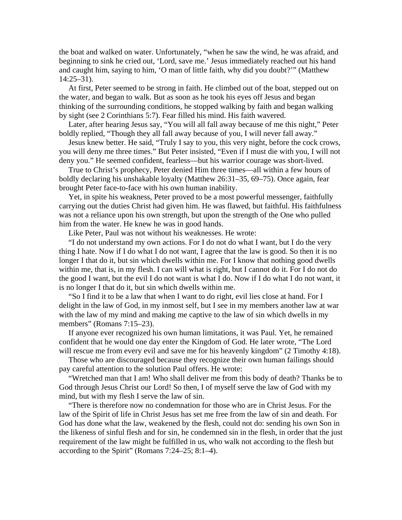the boat and walked on water. Unfortunately, "when he saw the wind, he was afraid, and beginning to sink he cried out, 'Lord, save me.' Jesus immediately reached out his hand and caught him, saying to him, 'O man of little faith, why did you doubt?'" (Matthew 14:25–31).

At first, Peter seemed to be strong in faith. He climbed out of the boat, stepped out on the water, and began to walk. But as soon as he took his eyes off Jesus and began thinking of the surrounding conditions, he stopped walking by faith and began walking by sight (see 2 Corinthians 5:7). Fear filled his mind. His faith wavered.

Later, after hearing Jesus say, "You will all fall away because of me this night," Peter boldly replied, "Though they all fall away because of you, I will never fall away."

Jesus knew better. He said, "Truly I say to you, this very night, before the cock crows, you will deny me three times." But Peter insisted, "Even if I must die with you, I will not deny you." He seemed confident, fearless—but his warrior courage was short-lived.

True to Christ's prophecy, Peter denied Him three times—all within a few hours of boldly declaring his unshakable loyalty (Matthew 26:31–35, 69–75). Once again, fear brought Peter face-to-face with his own human inability.

Yet, in spite his weakness, Peter proved to be a most powerful messenger, faithfully carrying out the duties Christ had given him. He was flawed, but faithful. His faithfulness was not a reliance upon his own strength, but upon the strength of the One who pulled him from the water. He knew he was in good hands.

Like Peter, Paul was not without his weaknesses. He wrote:

"I do not understand my own actions. For I do not do what I want, but I do the very thing I hate. Now if I do what I do not want, I agree that the law is good. So then it is no longer I that do it, but sin which dwells within me. For I know that nothing good dwells within me, that is, in my flesh. I can will what is right, but I cannot do it. For I do not do the good I want, but the evil I do not want is what I do. Now if I do what I do not want, it is no longer I that do it, but sin which dwells within me.

"So I find it to be a law that when I want to do right, evil lies close at hand. For I delight in the law of God, in my inmost self, but I see in my members another law at war with the law of my mind and making me captive to the law of sin which dwells in my members" (Romans 7:15–23).

If anyone ever recognized his own human limitations, it was Paul. Yet, he remained confident that he would one day enter the Kingdom of God. He later wrote, "The Lord will rescue me from every evil and save me for his heavenly kingdom" (2 Timothy 4:18).

Those who are discouraged because they recognize their own human failings should pay careful attention to the solution Paul offers. He wrote:

"Wretched man that I am! Who shall deliver me from this body of death? Thanks be to God through Jesus Christ our Lord! So then, I of myself serve the law of God with my mind, but with my flesh I serve the law of sin.

"There is therefore now no condemnation for those who are in Christ Jesus. For the law of the Spirit of life in Christ Jesus has set me free from the law of sin and death. For God has done what the law, weakened by the flesh, could not do: sending his own Son in the likeness of sinful flesh and for sin, he condemned sin in the flesh, in order that the just requirement of the law might be fulfilled in us, who walk not according to the flesh but according to the Spirit" (Romans 7:24–25; 8:1–4).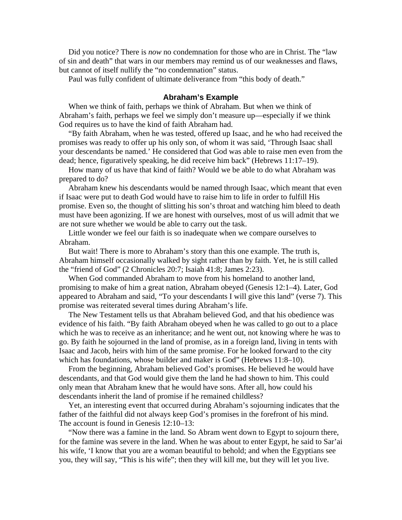Did you notice? There is *now* no condemnation for those who are in Christ. The "law of sin and death" that wars in our members may remind us of our weaknesses and flaws, but cannot of itself nullify the "no condemnation" status.

Paul was fully confident of ultimate deliverance from "this body of death."

# **Abraham's Example**

When we think of faith, perhaps we think of Abraham. But when we think of Abraham's faith, perhaps we feel we simply don't measure up—especially if we think God requires us to have the kind of faith Abraham had.

"By faith Abraham, when he was tested, offered up Isaac, and he who had received the promises was ready to offer up his only son, of whom it was said, 'Through Isaac shall your descendants be named.' He considered that God was able to raise men even from the dead; hence, figuratively speaking, he did receive him back" (Hebrews 11:17–19).

How many of us have that kind of faith? Would we be able to do what Abraham was prepared to do?

Abraham knew his descendants would be named through Isaac, which meant that even if Isaac were put to death God would have to raise him to life in order to fulfill His promise. Even so, the thought of slitting his son's throat and watching him bleed to death must have been agonizing. If we are honest with ourselves, most of us will admit that we are not sure whether we would be able to carry out the task.

Little wonder we feel our faith is so inadequate when we compare ourselves to Abraham.

But wait! There is more to Abraham's story than this one example. The truth is, Abraham himself occasionally walked by sight rather than by faith. Yet, he is still called the "friend of God" (2 Chronicles 20:7; Isaiah 41:8; James 2:23).

When God commanded Abraham to move from his homeland to another land, promising to make of him a great nation, Abraham obeyed (Genesis 12:1–4). Later, God appeared to Abraham and said, "To your descendants I will give this land" (verse 7). This promise was reiterated several times during Abraham's life.

The New Testament tells us that Abraham believed God, and that his obedience was evidence of his faith. "By faith Abraham obeyed when he was called to go out to a place which he was to receive as an inheritance; and he went out, not knowing where he was to go. By faith he sojourned in the land of promise, as in a foreign land, living in tents with Isaac and Jacob, heirs with him of the same promise. For he looked forward to the city which has foundations, whose builder and maker is God" (Hebrews 11:8–10).

From the beginning, Abraham believed God's promises. He believed he would have descendants, and that God would give them the land he had shown to him. This could only mean that Abraham knew that he would have sons. After all, how could his descendants inherit the land of promise if he remained childless?

Yet, an interesting event that occurred during Abraham's sojourning indicates that the father of the faithful did not always keep God's promises in the forefront of his mind. The account is found in Genesis 12:10–13:

"Now there was a famine in the land. So Abram went down to Egypt to sojourn there, for the famine was severe in the land. When he was about to enter Egypt, he said to Sar'ai his wife, 'I know that you are a woman beautiful to behold; and when the Egyptians see you, they will say, "This is his wife"; then they will kill me, but they will let you live.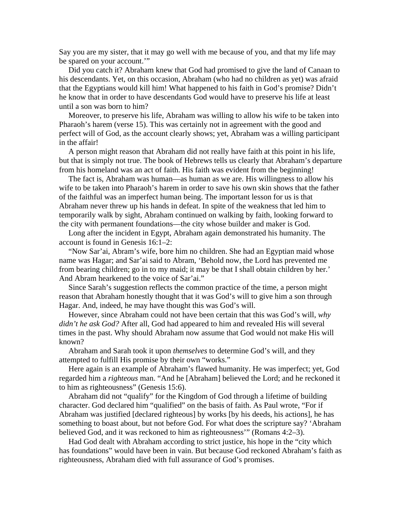Say you are my sister, that it may go well with me because of you, and that my life may be spared on your account.'"

Did you catch it? Abraham knew that God had promised to give the land of Canaan to his descendants. Yet, on this occasion, Abraham (who had no children as yet) was afraid that the Egyptians would kill him! What happened to his faith in God's promise? Didn't he know that in order to have descendants God would have to preserve his life at least until a son was born to him?

Moreover, to preserve his life, Abraham was willing to allow his wife to be taken into Pharaoh's harem (verse 15). This was certainly not in agreement with the good and perfect will of God, as the account clearly shows; yet, Abraham was a willing participant in the affair!

A person might reason that Abraham did not really have faith at this point in his life, but that is simply not true. The book of Hebrews tells us clearly that Abraham's departure from his homeland was an act of faith. His faith was evident from the beginning!

The fact is, Abraham was human—as human as we are. His willingness to allow his wife to be taken into Pharaoh's harem in order to save his own skin shows that the father of the faithful was an imperfect human being. The important lesson for us is that Abraham never threw up his hands in defeat. In spite of the weakness that led him to temporarily walk by sight, Abraham continued on walking by faith, looking forward to the city with permanent foundations—the city whose builder and maker is God.

Long after the incident in Egypt, Abraham again demonstrated his humanity. The account is found in Genesis 16:1–2:

"Now Sar'ai, Abram's wife, bore him no children. She had an Egyptian maid whose name was Hagar; and Sar'ai said to Abram, 'Behold now, the Lord has prevented me from bearing children; go in to my maid; it may be that I shall obtain children by her.' And Abram hearkened to the voice of Sar'ai."

Since Sarah's suggestion reflects the common practice of the time, a person might reason that Abraham honestly thought that it was God's will to give him a son through Hagar. And, indeed, he may have thought this was God's will.

However, since Abraham could not have been certain that this was God's will, *why didn't he ask God?* After all, God had appeared to him and revealed His will several times in the past. Why should Abraham now assume that God would not make His will known?

Abraham and Sarah took it upon *themselves* to determine God's will, and they attempted to fulfill His promise by their own "works."

Here again is an example of Abraham's flawed humanity. He was imperfect; yet, God regarded him a *righteous* man. "And he [Abraham] believed the Lord; and he reckoned it to him as righteousness" (Genesis 15:6).

Abraham did not "qualify" for the Kingdom of God through a lifetime of building character. God declared him "qualified" on the basis of faith. As Paul wrote, "For if Abraham was justified [declared righteous] by works [by his deeds, his actions], he has something to boast about, but not before God. For what does the scripture say? 'Abraham believed God, and it was reckoned to him as righteousness'" (Romans 4:2–3).

Had God dealt with Abraham according to strict justice, his hope in the "city which has foundations" would have been in vain. But because God reckoned Abraham's faith as righteousness, Abraham died with full assurance of God's promises.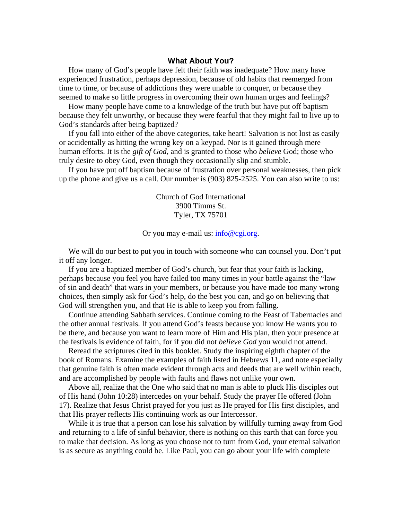## **What About You?**

How many of God's people have felt their faith was inadequate? How many have experienced frustration, perhaps depression, because of old habits that reemerged from time to time, or because of addictions they were unable to conquer, or because they seemed to make so little progress in overcoming their own human urges and feelings?

How many people have come to a knowledge of the truth but have put off baptism because they felt unworthy, or because they were fearful that they might fail to live up to God's standards after being baptized?

If you fall into either of the above categories, take heart! Salvation is not lost as easily or accidentally as hitting the wrong key on a keypad. Nor is it gained through mere human efforts. It is the *gift of God*, and is granted to those who *believe* God; those who truly desire to obey God, even though they occasionally slip and stumble.

If you have put off baptism because of frustration over personal weaknesses, then pick up the phone and give us a call. Our number is (903) 825-2525. You can also write to us:

> Church of God International 3900 Timms St. Tyler, TX 75701

#### Or you may e-mail us: info@cgi.org.

We will do our best to put you in touch with someone who can counsel you. Don't put it off any longer.

If you are a baptized member of God's church, but fear that your faith is lacking, perhaps because you feel you have failed too many times in your battle against the "law of sin and death" that wars in your members, or because you have made too many wrong choices, then simply ask for God's help, do the best you can, and go on believing that God will strengthen you, and that He is able to keep you from falling.

Continue attending Sabbath services. Continue coming to the Feast of Tabernacles and the other annual festivals. If you attend God's feasts because you know He wants you to be there, and because you want to learn more of Him and His plan, then your presence at the festivals is evidence of faith, for if you did not *believe God* you would not attend.

Reread the scriptures cited in this booklet. Study the inspiring eighth chapter of the book of Romans. Examine the examples of faith listed in Hebrews 11, and note especially that genuine faith is often made evident through acts and deeds that are well within reach, and are accomplished by people with faults and flaws not unlike your own.

Above all, realize that the One who said that no man is able to pluck His disciples out of His hand (John 10:28) intercedes on your behalf. Study the prayer He offered (John 17). Realize that Jesus Christ prayed for you just as He prayed for His first disciples, and that His prayer reflects His continuing work as our Intercessor.

While it is true that a person can lose his salvation by willfully turning away from God and returning to a life of sinful behavior, there is nothing on this earth that can force you to make that decision. As long as you choose not to turn from God, your eternal salvation is as secure as anything could be. Like Paul, you can go about your life with complete